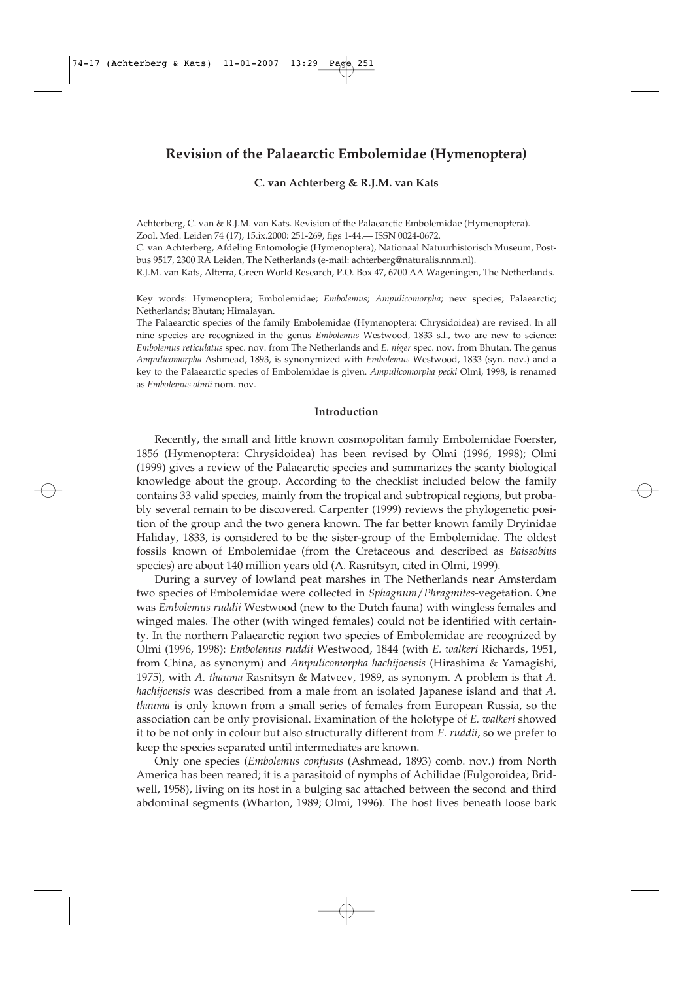# **Revision of the Palaearctic Embolemidae (Hymenoptera)**

## **C. van Achterberg & R.J.M. van Kats**

Achterberg, C. van & R.J.M. van Kats. Revision of the Palaearctic Embolemidae (Hymenoptera). Zool. Med. Leiden 74 (17), 15.ix.2000: 251-269, figs 1-44.— ISSN 0024-0672.

C. van Achterberg, Afdeling Entomologie (Hymenoptera), Nationaal Natuurhistorisch Museum, Postbus 9517, 2300 RA Leiden, The Netherlands (e-mail: achterberg@naturalis.nnm.nl).

R.J.M. van Kats, Alterra, Green World Research, P.O. Box 47, 6700 AA Wageningen, The Netherlands.

Key words: Hymenoptera; Embolemidae; *Embolemus*; *Ampulicomorpha*; new species; Palaearctic; Netherlands; Bhutan; Himalayan.

The Palaearctic species of the family Embolemidae (Hymenoptera: Chrysidoidea) are revised. In all nine species are recognized in the genus *Embolemus* Westwood, 1833 s.l., two are new to science: *Embolemus reticulatus* spec. nov. from The Netherlands and *E. niger* spec. nov. from Bhutan. The genus *Ampulicomorpha* Ashmead, 1893, is synonymized with *Embolemus* Westwood, 1833 (syn. nov.) and a key to the Palaearctic species of Embolemidae is given. *Ampulicomorpha pecki* Olmi, 1998, is renamed as *Embolemus olmii* nom. nov.

## **Introduction**

Recently, the small and little known cosmopolitan family Embolemidae Foerster, 1856 (Hymenoptera: Chrysidoidea) has been revised by Olmi (1996, 1998); Olmi (1999) gives a review of the Palaearctic species and summarizes the scanty biological knowledge about the group. According to the checklist included below the family contains 33 valid species, mainly from the tropical and subtropical regions, but probably several remain to be discovered. Carpenter (1999) reviews the phylogenetic position of the group and the two genera known. The far better known family Dryinidae Haliday, 1833, is considered to be the sister-group of the Embolemidae. The oldest fossils known of Embolemidae (from the Cretaceous and described as *Baissobius* species) are about 140 million years old (A. Rasnitsyn, cited in Olmi, 1999).

During a survey of lowland peat marshes in The Netherlands near Amsterdam two species of Embolemidae were collected in *Sphagnum*/*Phragmites*-vegetation. One was *Embolemus ruddii* Westwood (new to the Dutch fauna) with wingless females and winged males. The other (with winged females) could not be identified with certainty. In the northern Palaearctic region two species of Embolemidae are recognized by Olmi (1996, 1998): *Embolemus ruddii* Westwood, 1844 (with *E. walkeri* Richards, 1951, from China, as synonym) and *Ampulicomorpha hachijoensis* (Hirashima & Yamagishi, 1975), with *A. thauma* Rasnitsyn & Matveev, 1989, as synonym. A problem is that *A. hachijoensis* was described from a male from an isolated Japanese island and that *A. thauma* is only known from a small series of females from European Russia, so the association can be only provisional. Examination of the holotype of *E. walkeri* showed it to be not only in colour but also structurally different from *E. ruddii*, so we prefer to keep the species separated until intermediates are known.

Only one species (*Embolemus confusus* (Ashmead, 1893) comb. nov.) from North America has been reared; it is a parasitoid of nymphs of Achilidae (Fulgoroidea; Bridwell, 1958), living on its host in a bulging sac attached between the second and third abdominal segments (Wharton, 1989; Olmi, 1996). The host lives beneath loose bark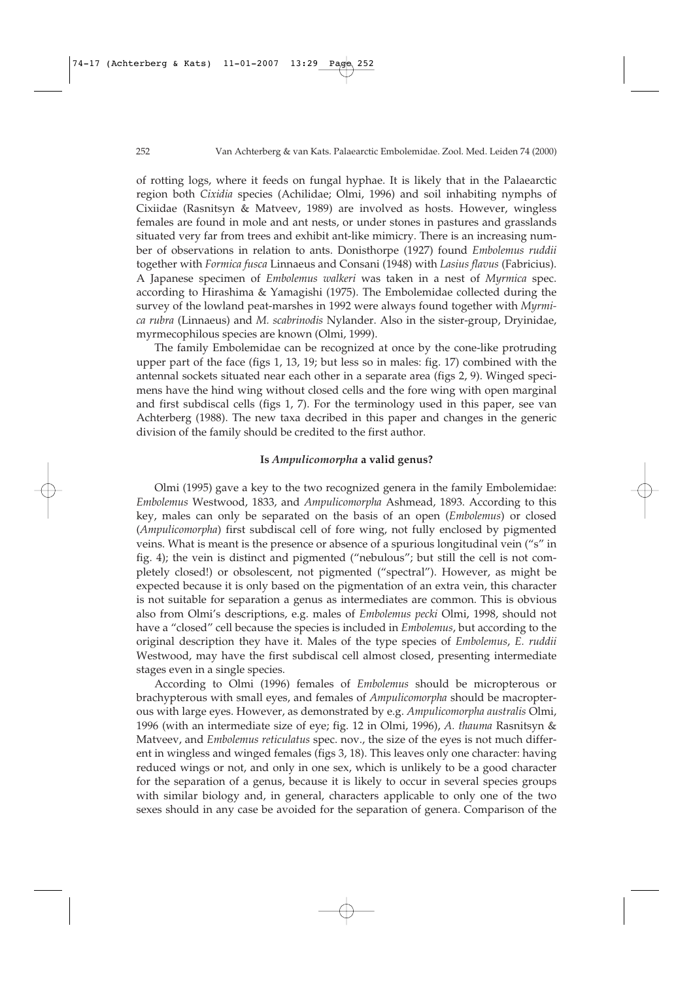of rotting logs, where it feeds on fungal hyphae. It is likely that in the Palaearctic region both *Cixidia* species (Achilidae; Olmi, 1996) and soil inhabiting nymphs of Cixiidae (Rasnitsyn & Matveev, 1989) are involved as hosts. However, wingless females are found in mole and ant nests, or under stones in pastures and grasslands situated very far from trees and exhibit ant-like mimicry. There is an increasing number of observations in relation to ants. Donisthorpe (1927) found *Embolemus ruddii* together with *Formica fusca* Linnaeus and Consani (1948) with *Lasius flavus* (Fabricius). A Japanese specimen of *Embolemus walkeri* was taken in a nest of *Myrmica* spec. according to Hirashima & Yamagishi (1975). The Embolemidae collected during the survey of the lowland peat-marshes in 1992 were always found together with *Myrmica rubra* (Linnaeus) and *M. scabrinodis* Nylander. Also in the sister-group, Dryinidae, myrmecophilous species are known (Olmi, 1999).

The family Embolemidae can be recognized at once by the cone-like protruding upper part of the face (figs 1, 13, 19; but less so in males: fig. 17) combined with the antennal sockets situated near each other in a separate area (figs 2, 9). Winged specimens have the hind wing without closed cells and the fore wing with open marginal and first subdiscal cells (figs 1, 7). For the terminology used in this paper, see van Achterberg (1988). The new taxa decribed in this paper and changes in the generic division of the family should be credited to the first author.

## **Is** *Ampulicomorpha* **a valid genus?**

Olmi (1995) gave a key to the two recognized genera in the family Embolemidae: *Embolemus* Westwood, 1833, and *Ampulicomorpha* Ashmead, 1893. According to this key, males can only be separated on the basis of an open (*Embolemus*) or closed (*Ampulicomorpha*) first subdiscal cell of fore wing, not fully enclosed by pigmented veins. What is meant is the presence or absence of a spurious longitudinal vein ("s" in fig. 4); the vein is distinct and pigmented ("nebulous"; but still the cell is not completely closed!) or obsolescent, not pigmented ("spectral"). However, as might be expected because it is only based on the pigmentation of an extra vein, this character is not suitable for separation a genus as intermediates are common. This is obvious also from Olmi's descriptions, e.g. males of *Embolemus pecki* Olmi, 1998, should not have a "closed" cell because the species is included in *Embolemus*, but according to the original description they have it. Males of the type species of *Embolemus*, *E. ruddii* Westwood, may have the first subdiscal cell almost closed, presenting intermediate stages even in a single species.

According to Olmi (1996) females of *Embolemus* should be micropterous or brachypterous with small eyes, and females of *Ampulicomorpha* should be macropterous with large eyes. However, as demonstrated by e.g. *Ampulicomorpha australis* Olmi, 1996 (with an intermediate size of eye; fig. 12 in Olmi, 1996), *A. thauma* Rasnitsyn & Matveev, and *Embolemus reticulatus* spec. nov., the size of the eyes is not much different in wingless and winged females (figs 3, 18). This leaves only one character: having reduced wings or not, and only in one sex, which is unlikely to be a good character for the separation of a genus, because it is likely to occur in several species groups with similar biology and, in general, characters applicable to only one of the two sexes should in any case be avoided for the separation of genera. Comparison of the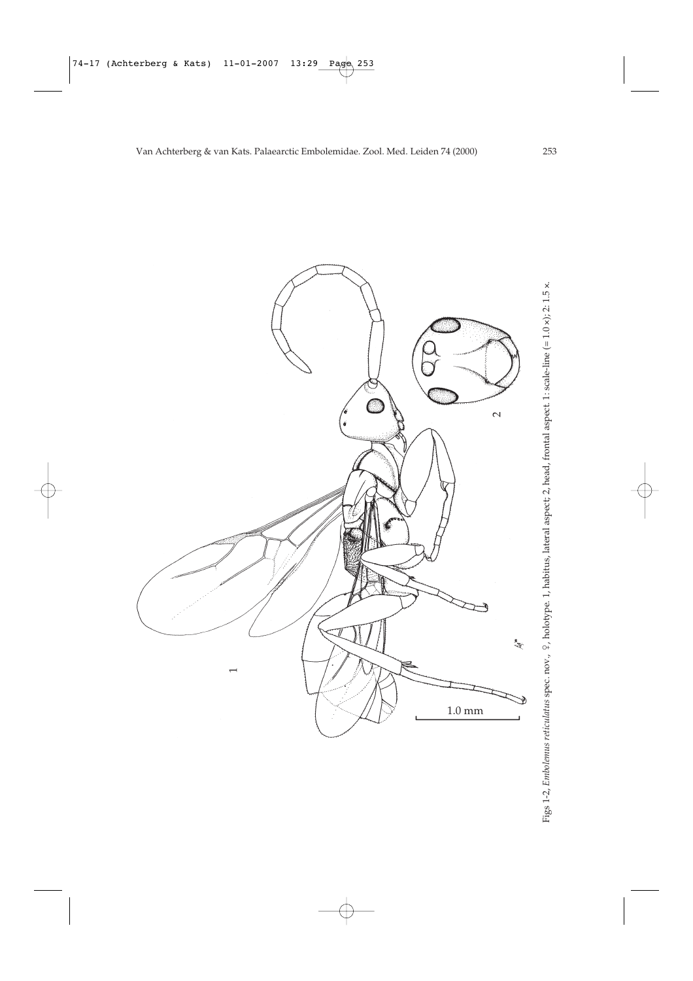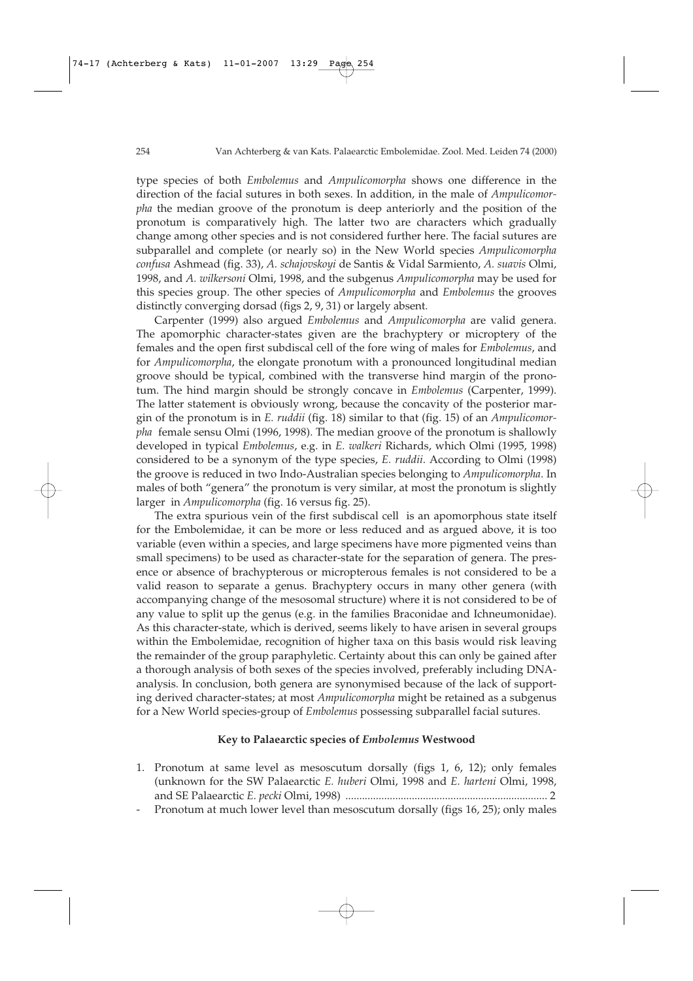type species of both *Embolemus* and *Ampulicomorpha* shows one difference in the direction of the facial sutures in both sexes. In addition, in the male of *Ampulicomorpha* the median groove of the pronotum is deep anteriorly and the position of the pronotum is comparatively high. The latter two are characters which gradually change among other species and is not considered further here. The facial sutures are subparallel and complete (or nearly so) in the New World species *Ampulicomorpha confusa* Ashmead (fig. 33), *A. schajovskoyi* de Santis & Vidal Sarmiento, *A. suavis* Olmi, 1998, and *A. wilkersoni* Olmi, 1998, and the subgenus *Ampulicomorpha* may be used for this species group. The other species of *Ampulicomorpha* and *Embolemus* the grooves distinctly converging dorsad (figs 2, 9, 31) or largely absent.

Carpenter (1999) also argued *Embolemus* and *Ampulicomorpha* are valid genera. The apomorphic character-states given are the brachyptery or microptery of the females and the open first subdiscal cell of the fore wing of males for *Embolemus*, and for *Ampulicomorpha*, the elongate pronotum with a pronounced longitudinal median groove should be typical, combined with the transverse hind margin of the pronotum. The hind margin should be strongly concave in *Embolemus* (Carpenter, 1999). The latter statement is obviously wrong, because the concavity of the posterior margin of the pronotum is in *E. ruddii* (fig. 18) similar to that (fig. 15) of an *Ampulicomorpha* female sensu Olmi (1996, 1998). The median groove of the pronotum is shallowly developed in typical *Embolemus*, e.g. in *E. walkeri* Richards, which Olmi (1995, 1998) considered to be a synonym of the type species, *E. ruddii*. According to Olmi (1998) the groove is reduced in two Indo-Australian species belonging to *Ampulicomorpha*. In males of both "genera" the pronotum is very similar, at most the pronotum is slightly larger in *Ampulicomorpha* (fig. 16 versus fig. 25).

The extra spurious vein of the first subdiscal cell is an apomorphous state itself for the Embolemidae, it can be more or less reduced and as argued above, it is too variable (even within a species, and large specimens have more pigmented veins than small specimens) to be used as character-state for the separation of genera. The presence or absence of brachypterous or micropterous females is not considered to be a valid reason to separate a genus. Brachyptery occurs in many other genera (with accompanying change of the mesosomal structure) where it is not considered to be of any value to split up the genus (e.g. in the families Braconidae and Ichneumonidae). As this character-state, which is derived, seems likely to have arisen in several groups within the Embolemidae, recognition of higher taxa on this basis would risk leaving the remainder of the group paraphyletic. Certainty about this can only be gained after a thorough analysis of both sexes of the species involved, preferably including DNAanalysis. In conclusion, both genera are synonymised because of the lack of supporting derived character-states; at most *Ampulicomorpha* might be retained as a subgenus for a New World species-group of *Embolemus* possessing subparallel facial sutures.

#### **Key to Palaearctic species of** *Embolemus* **Westwood**

- 1. Pronotum at same level as mesoscutum dorsally (figs 1, 6, 12); only females (unknown for the SW Palaearctic *E. huberi* Olmi, 1998 and *E. harteni* Olmi, 1998, and SE Palaearctic *E. pecki* Olmi, 1998) ......................................................................... 2
- Pronotum at much lower level than mesoscutum dorsally (figs 16, 25); only males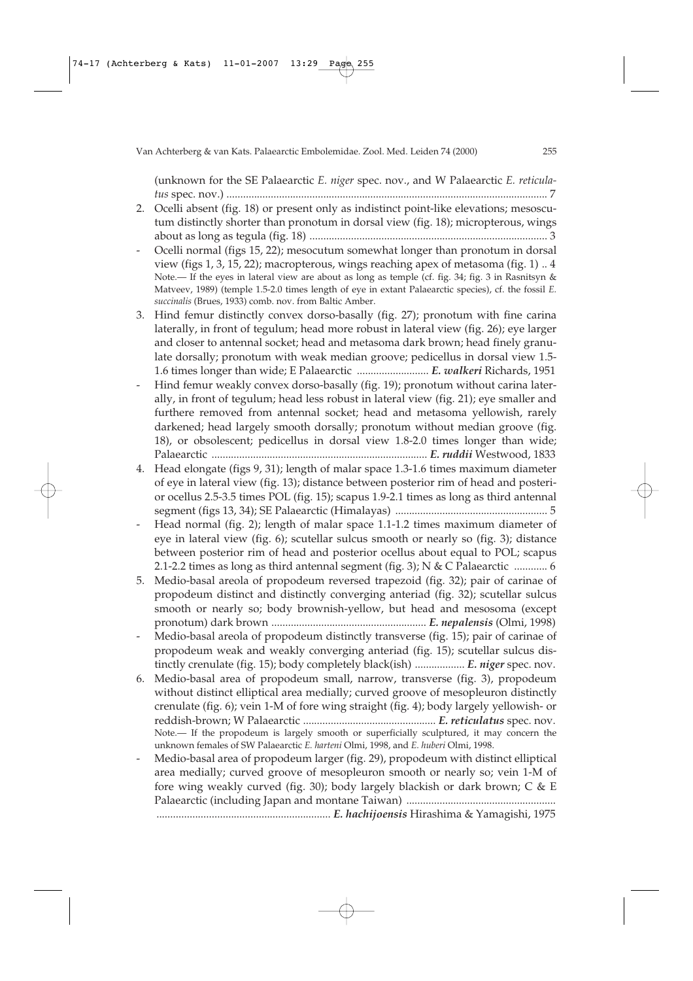(unknown for the SE Palaearctic *E. niger* spec. nov., and W Palaearctic *E. reticulatus* spec. nov.) .................................................................................................................... 7

- 2. Ocelli absent (fig. 18) or present only as indistinct point-like elevations; mesoscutum distinctly shorter than pronotum in dorsal view (fig. 18); micropterous, wings about as long as tegula (fig. 18) ...................................................................................... 3
- Ocelli normal (figs 15, 22); mesocutum somewhat longer than pronotum in dorsal view (figs 1, 3, 15, 22); macropterous, wings reaching apex of metasoma (fig. 1) .. 4 Note.— If the eyes in lateral view are about as long as temple (cf. fig. 34; fig. 3 in Rasnitsyn & Matveev, 1989) (temple 1.5-2.0 times length of eye in extant Palaearctic species), cf. the fossil *E. succinalis* (Brues, 1933) comb. nov. from Baltic Amber.
- 3. Hind femur distinctly convex dorso-basally (fig. 27); pronotum with fine carina laterally, in front of tegulum; head more robust in lateral view (fig. 26); eye larger and closer to antennal socket; head and metasoma dark brown; head finely granulate dorsally; pronotum with weak median groove; pedicellus in dorsal view 1.5- 1.6 times longer than wide; E Palaearctic .......................... *E. walkeri* Richards, 1951
- Hind femur weakly convex dorso-basally (fig. 19); pronotum without carina laterally, in front of tegulum; head less robust in lateral view (fig. 21); eye smaller and furthere removed from antennal socket; head and metasoma yellowish, rarely darkened; head largely smooth dorsally; pronotum without median groove (fig. 18), or obsolescent; pedicellus in dorsal view 1.8-2.0 times longer than wide; Palaearctic .............................................................................. *E. ruddii* Westwood, 1833
- 4. Head elongate (figs 9, 31); length of malar space 1.3-1.6 times maximum diameter of eye in lateral view (fig. 13); distance between posterior rim of head and posterior ocellus 2.5-3.5 times POL (fig. 15); scapus 1.9-2.1 times as long as third antennal segment (figs 13, 34); SE Palaearctic (Himalayas) ....................................................... 5
- Head normal (fig. 2); length of malar space 1.1-1.2 times maximum diameter of eye in lateral view (fig. 6); scutellar sulcus smooth or nearly so (fig. 3); distance between posterior rim of head and posterior ocellus about equal to POL; scapus 2.1-2.2 times as long as third antennal segment (fig. 3); N & C Palaearctic ............ 6
- 5. Medio-basal areola of propodeum reversed trapezoid (fig. 32); pair of carinae of propodeum distinct and distinctly converging anteriad (fig. 32); scutellar sulcus smooth or nearly so; body brownish-yellow, but head and mesosoma (except pronotum) dark brown ........................................................ *E. nepalensis* (Olmi, 1998)
- Medio-basal areola of propodeum distinctly transverse (fig. 15); pair of carinae of propodeum weak and weakly converging anteriad (fig. 15); scutellar sulcus distinctly crenulate (fig. 15); body completely black(ish) .................. *E. niger* spec. nov.
- 6. Medio-basal area of propodeum small, narrow, transverse (fig. 3), propodeum without distinct elliptical area medially; curved groove of mesopleuron distinctly crenulate (fig. 6); vein 1-M of fore wing straight (fig. 4); body largely yellowish- or reddish-brown; W Palaearctic ................................................ *E. reticulatus* spec. nov. Note.— If the propodeum is largely smooth or superficially sculptured, it may concern the unknown females of SW Palaearctic *E. harteni* Olmi, 1998, and *E. huberi* Olmi, 1998.
- Medio-basal area of propodeum larger (fig. 29), propodeum with distinct elliptical area medially; curved groove of mesopleuron smooth or nearly so; vein 1-M of fore wing weakly curved (fig. 30); body largely blackish or dark brown; C & E Palaearctic (including Japan and montane Taiwan) ...................................................... ............................................................... *E. hachijoensis* Hirashima & Yamagishi, 1975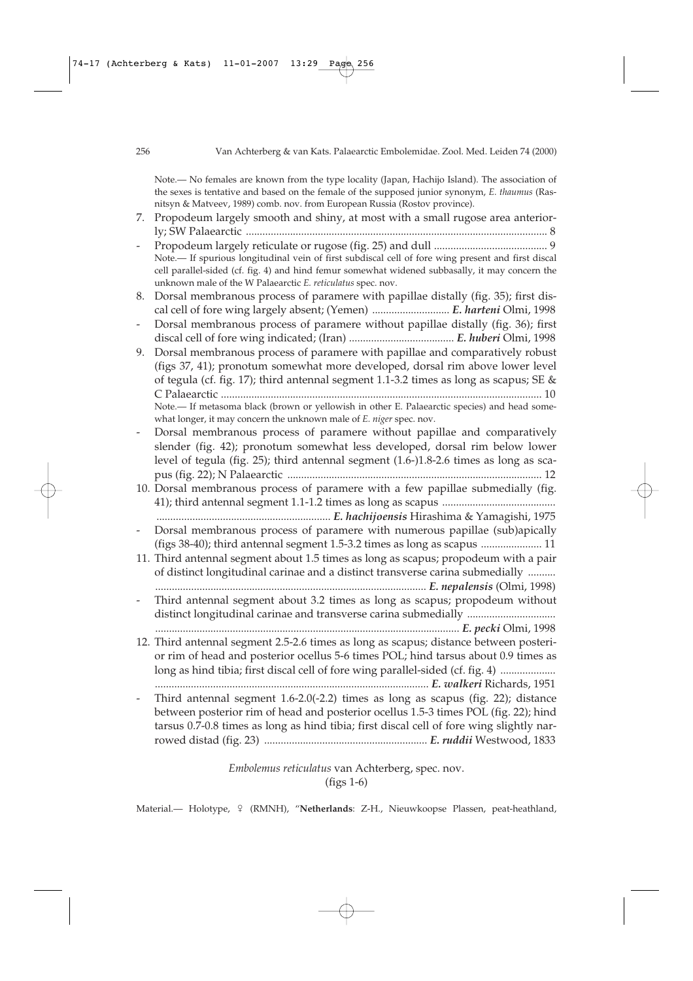Note.— No females are known from the type locality (Japan, Hachijo Island). The association of the sexes is tentative and based on the female of the supposed junior synonym, *E. thaumus* (Rasnitsyn & Matveev, 1989) comb. nov. from European Russia (Rostov province).

- 7. Propodeum largely smooth and shiny, at most with a small rugose area anteriorly; SW Palaearctic ............................................................................................................. 8
- Propodeum largely reticulate or rugose (fig. 25) and dull ......................................... 9 Note.— If spurious longitudinal vein of first subdiscal cell of fore wing present and first discal cell parallel-sided (cf. fig. 4) and hind femur somewhat widened subbasally, it may concern the unknown male of the W Palaearctic *E. reticulatus* spec. nov.
- 8. Dorsal membranous process of paramere with papillae distally (fig. 35); first discal cell of fore wing largely absent; (Yemen) ............................ *E. harteni* Olmi, 1998
- Dorsal membranous process of paramere without papillae distally (fig. 36); first discal cell of fore wing indicated; (Iran) ...................................... *E. huberi* Olmi, 1998
- 9. Dorsal membranous process of paramere with papillae and comparatively robust (figs 37, 41); pronotum somewhat more developed, dorsal rim above lower level of tegula (cf. fig. 17); third antennal segment 1.1-3.2 times as long as scapus; SE  $\&$ C Palaearctic .................................................................................................................... 10 Note.— If metasoma black (brown or yellowish in other E. Palaearctic species) and head somewhat longer, it may concern the unknown male of *E. niger* spec. nov.
- Dorsal membranous process of paramere without papillae and comparatively slender (fig. 42); pronotum somewhat less developed, dorsal rim below lower level of tegula (fig. 25); third antennal segment (1.6-)1.8-2.6 times as long as scapus (fig. 22); N Palaearctic ............................................................................................ 12
- 10. Dorsal membranous process of paramere with a few papillae submedially (fig. 41); third antennal segment 1.1-1.2 times as long as scapus ......................................... ............................................................... *E. hachijoensis* Hirashima & Yamagishi, 1975
- Dorsal membranous process of paramere with numerous papillae (sub)apically (figs 38-40); third antennal segment 1.5-3.2 times as long as scapus ...................... 11
- 11. Third antennal segment about 1.5 times as long as scapus; propodeum with a pair of distinct longitudinal carinae and a distinct transverse carina submedially .......... .................................................................................................. *E. nepalensis* (Olmi, 1998)
- Third antennal segment about 3.2 times as long as scapus; propodeum without distinct longitudinal carinae and transverse carina submedially ................................ .............................................................................................................. *E. pecki* Olmi, 1998

12. Third antennal segment 2.5-2.6 times as long as scapus; distance between posterior rim of head and posterior ocellus 5-6 times POL; hind tarsus about 0.9 times as

long as hind tibia; first discal cell of fore wing parallel-sided (cf. fig. 4) ..................... ................................................................................................... *E. walkeri* Richards, 1951

Third antennal segment 1.6-2.0(-2.2) times as long as scapus (fig. 22); distance between posterior rim of head and posterior ocellus 1.5-3 times POL (fig. 22); hind tarsus 0.7-0.8 times as long as hind tibia; first discal cell of fore wing slightly narrowed distad (fig. 23) ........................................................... *E. ruddii* Westwood, 1833

> *Embolemus reticulatus* van Achterberg, spec. nov. (figs 1-6)

Material.— Holotype, ♀ (RMNH), "**Netherlands**: Z-H., Nieuwkoopse Plassen, peat-heathland,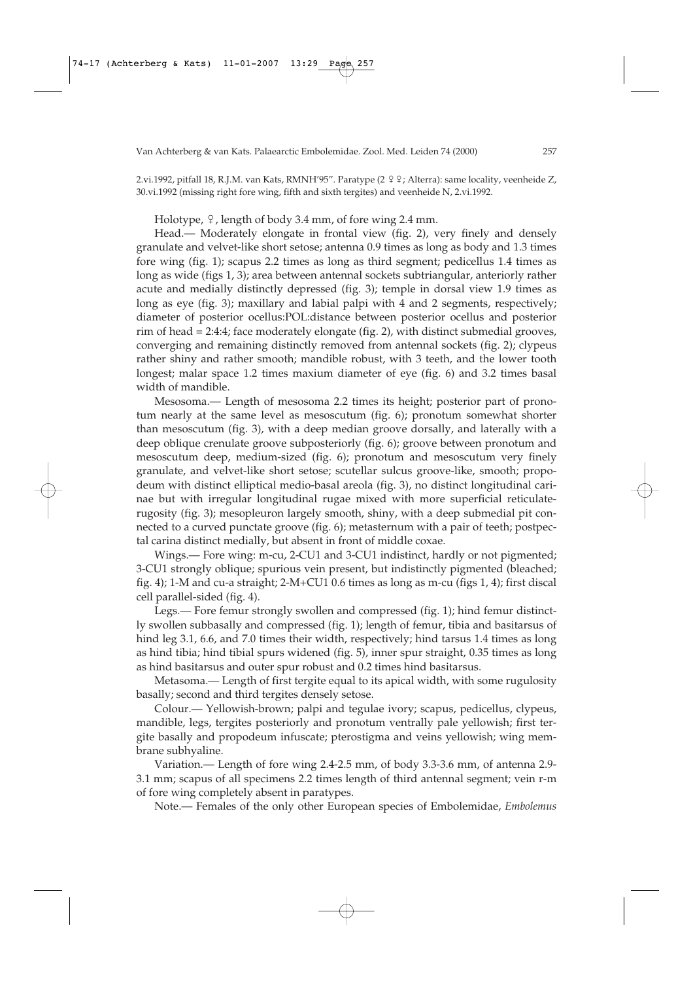2.vi.1992, pitfall 18, R.J.M. van Kats, RMNH'95". Paratype (2 ♀♀; Alterra): same locality, veenheide Z, 30.vi.1992 (missing right fore wing, fifth and sixth tergites) and veenheide N, 2.vi.1992.

Holotype, ♀, length of body 3.4 mm, of fore wing 2.4 mm.

Head.— Moderately elongate in frontal view (fig. 2), very finely and densely granulate and velvet-like short setose; antenna 0.9 times as long as body and 1.3 times fore wing (fig. 1); scapus 2.2 times as long as third segment; pedicellus 1.4 times as long as wide (figs 1, 3); area between antennal sockets subtriangular, anteriorly rather acute and medially distinctly depressed (fig. 3); temple in dorsal view 1.9 times as long as eye (fig. 3); maxillary and labial palpi with 4 and 2 segments, respectively; diameter of posterior ocellus:POL:distance between posterior ocellus and posterior rim of head = 2:4:4; face moderately elongate (fig. 2), with distinct submedial grooves, converging and remaining distinctly removed from antennal sockets (fig. 2); clypeus rather shiny and rather smooth; mandible robust, with 3 teeth, and the lower tooth longest; malar space 1.2 times maxium diameter of eye (fig. 6) and 3.2 times basal width of mandible.

Mesosoma.— Length of mesosoma 2.2 times its height; posterior part of pronotum nearly at the same level as mesoscutum (fig. 6); pronotum somewhat shorter than mesoscutum (fig. 3), with a deep median groove dorsally, and laterally with a deep oblique crenulate groove subposteriorly (fig. 6); groove between pronotum and mesoscutum deep, medium-sized (fig. 6); pronotum and mesoscutum very finely granulate, and velvet-like short setose; scutellar sulcus groove-like, smooth; propodeum with distinct elliptical medio-basal areola (fig. 3), no distinct longitudinal carinae but with irregular longitudinal rugae mixed with more superficial reticulaterugosity (fig. 3); mesopleuron largely smooth, shiny, with a deep submedial pit connected to a curved punctate groove (fig. 6); metasternum with a pair of teeth; postpectal carina distinct medially, but absent in front of middle coxae.

Wings.— Fore wing: m-cu, 2-CU1 and 3-CU1 indistinct, hardly or not pigmented; 3-CU1 strongly oblique; spurious vein present, but indistinctly pigmented (bleached; fig. 4); 1-M and cu-a straight; 2-M+CU1 0.6 times as long as m-cu (figs 1, 4); first discal cell parallel-sided (fig. 4).

Legs.— Fore femur strongly swollen and compressed (fig. 1); hind femur distinctly swollen subbasally and compressed (fig. 1); length of femur, tibia and basitarsus of hind leg 3.1, 6.6, and 7.0 times their width, respectively; hind tarsus 1.4 times as long as hind tibia; hind tibial spurs widened (fig. 5), inner spur straight, 0.35 times as long as hind basitarsus and outer spur robust and 0.2 times hind basitarsus.

Metasoma.— Length of first tergite equal to its apical width, with some rugulosity basally; second and third tergites densely setose.

Colour.— Yellowish-brown; palpi and tegulae ivory; scapus, pedicellus, clypeus, mandible, legs, tergites posteriorly and pronotum ventrally pale yellowish; first tergite basally and propodeum infuscate; pterostigma and veins yellowish; wing membrane subhyaline.

Variation.— Length of fore wing 2.4-2.5 mm, of body 3.3-3.6 mm, of antenna 2.9- 3.1 mm; scapus of all specimens 2.2 times length of third antennal segment; vein r-m of fore wing completely absent in paratypes.

Note.— Females of the only other European species of Embolemidae, *Embolemus*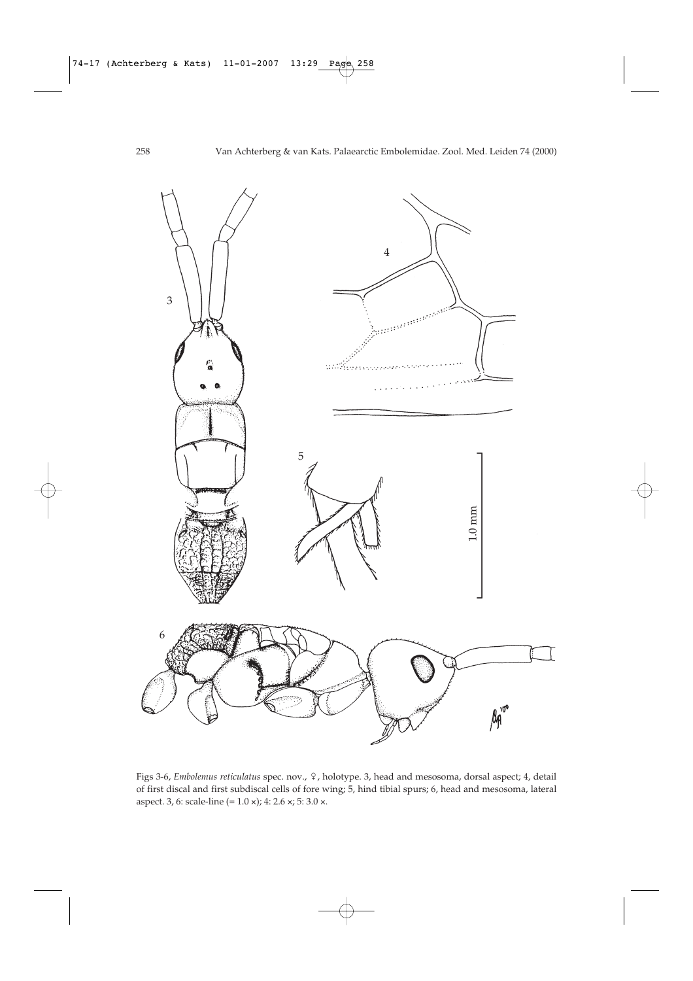

Figs 3-6*, Embolemus reticulatus* spec. nov., ♀, holotype. 3, head and mesosoma, dorsal aspect; 4, detail of first discal and first subdiscal cells of fore wing; 5, hind tibial spurs; 6, head and mesosoma, lateral aspect. 3, 6: scale-line (= 1.0 ×); 4: 2.6 ×; 5: 3.0 ×.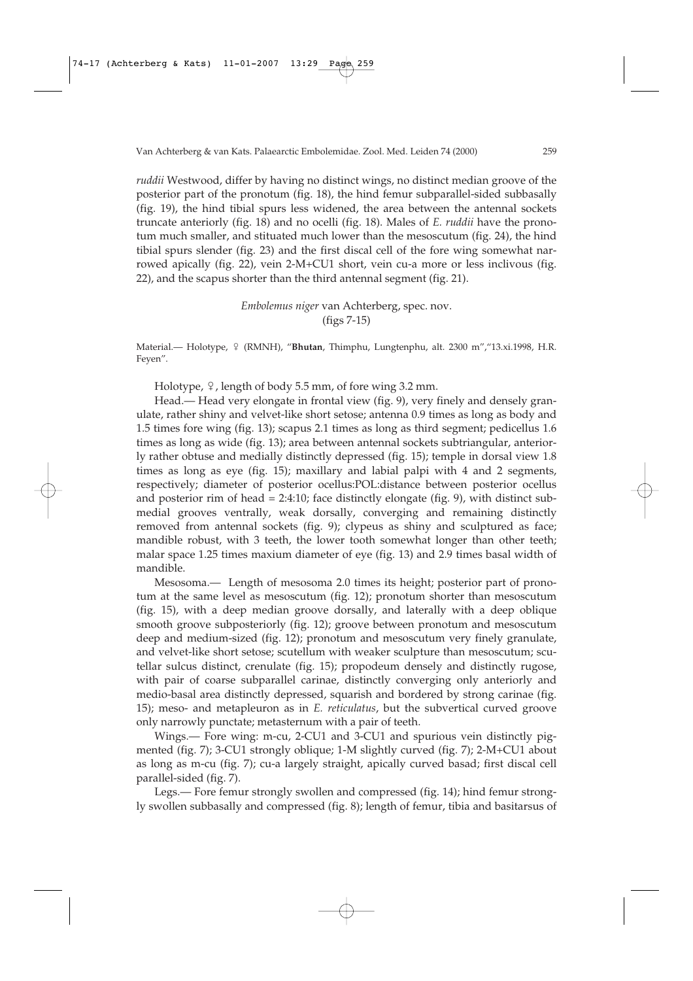*ruddii* Westwood, differ by having no distinct wings, no distinct median groove of the posterior part of the pronotum (fig. 18), the hind femur subparallel-sided subbasally (fig. 19), the hind tibial spurs less widened, the area between the antennal sockets truncate anteriorly (fig. 18) and no ocelli (fig. 18). Males of *E. ruddii* have the pronotum much smaller, and stituated much lower than the mesoscutum (fig. 24), the hind tibial spurs slender (fig. 23) and the first discal cell of the fore wing somewhat narrowed apically (fig. 22), vein 2-M+CU1 short, vein cu-a more or less inclivous (fig. 22), and the scapus shorter than the third antennal segment (fig. 21).

> *Embolemus niger* van Achterberg, spec. nov. (figs 7-15)

Material.— Holotype, ♀ (RMNH), "**Bhutan**, Thimphu, Lungtenphu, alt. 2300 m","13.xi.1998, H.R. Feyen".

Holotype, ♀, length of body 5.5 mm, of fore wing 3.2 mm.

Head.— Head very elongate in frontal view (fig. 9), very finely and densely granulate, rather shiny and velvet-like short setose; antenna 0.9 times as long as body and 1.5 times fore wing (fig. 13); scapus 2.1 times as long as third segment; pedicellus 1.6 times as long as wide (fig. 13); area between antennal sockets subtriangular, anteriorly rather obtuse and medially distinctly depressed (fig. 15); temple in dorsal view 1.8 times as long as eye (fig. 15); maxillary and labial palpi with 4 and 2 segments, respectively; diameter of posterior ocellus:POL:distance between posterior ocellus and posterior rim of head  $= 2:4:10$ ; face distinctly elongate (fig. 9), with distinct submedial grooves ventrally, weak dorsally, converging and remaining distinctly removed from antennal sockets (fig. 9); clypeus as shiny and sculptured as face; mandible robust, with 3 teeth, the lower tooth somewhat longer than other teeth; malar space 1.25 times maxium diameter of eye (fig. 13) and 2.9 times basal width of mandible.

Mesosoma.— Length of mesosoma 2.0 times its height; posterior part of pronotum at the same level as mesoscutum (fig. 12); pronotum shorter than mesoscutum (fig. 15), with a deep median groove dorsally, and laterally with a deep oblique smooth groove subposteriorly (fig. 12); groove between pronotum and mesoscutum deep and medium-sized (fig. 12); pronotum and mesoscutum very finely granulate, and velvet-like short setose; scutellum with weaker sculpture than mesoscutum; scutellar sulcus distinct, crenulate (fig. 15); propodeum densely and distinctly rugose, with pair of coarse subparallel carinae, distinctly converging only anteriorly and medio-basal area distinctly depressed, squarish and bordered by strong carinae (fig. 15); meso- and metapleuron as in *E. reticulatus*, but the subvertical curved groove only narrowly punctate; metasternum with a pair of teeth.

Wings.— Fore wing: m-cu, 2-CU1 and 3-CU1 and spurious vein distinctly pigmented (fig. 7); 3-CU1 strongly oblique; 1-M slightly curved (fig. 7); 2-M+CU1 about as long as m-cu (fig. 7); cu-a largely straight, apically curved basad; first discal cell parallel-sided (fig. 7).

Legs.— Fore femur strongly swollen and compressed (fig. 14); hind femur strongly swollen subbasally and compressed (fig. 8); length of femur, tibia and basitarsus of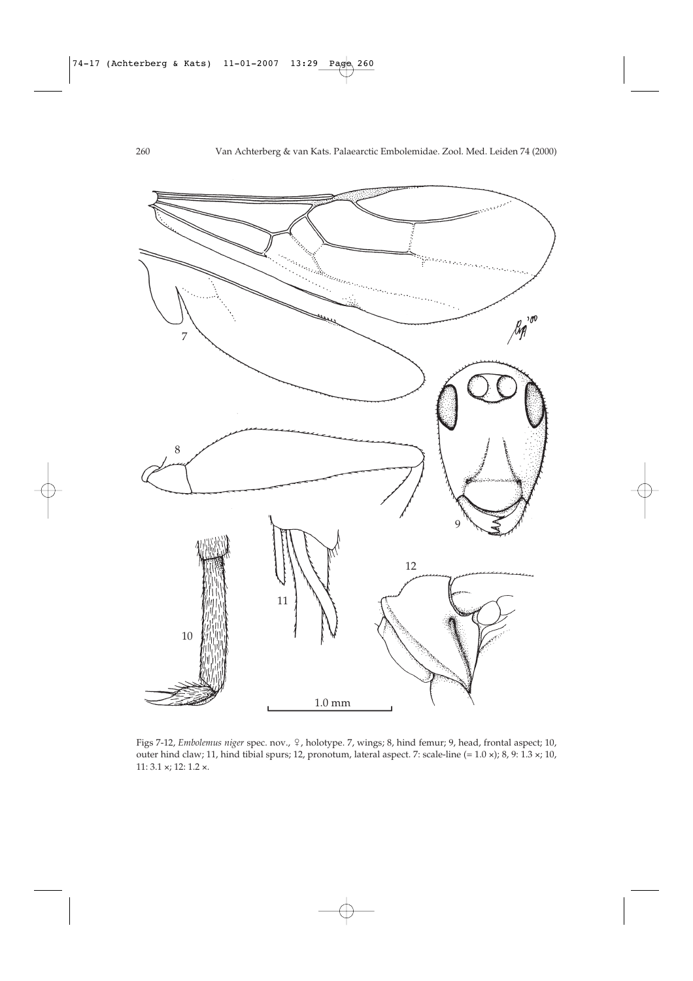

Figs 7-12, *Embolemus niger s*pec. nov., ♀, holotype. 7, wings; 8, hind femur; 9, head, frontal aspect; 10, outer hind claw; 11, hind tibial spurs; 12, pronotum, lateral aspect. 7: scale-line (= 1.0 ×); 8, 9: 1.3 ×; 10, 11: 3.1 ×; 12: 1.2 ×.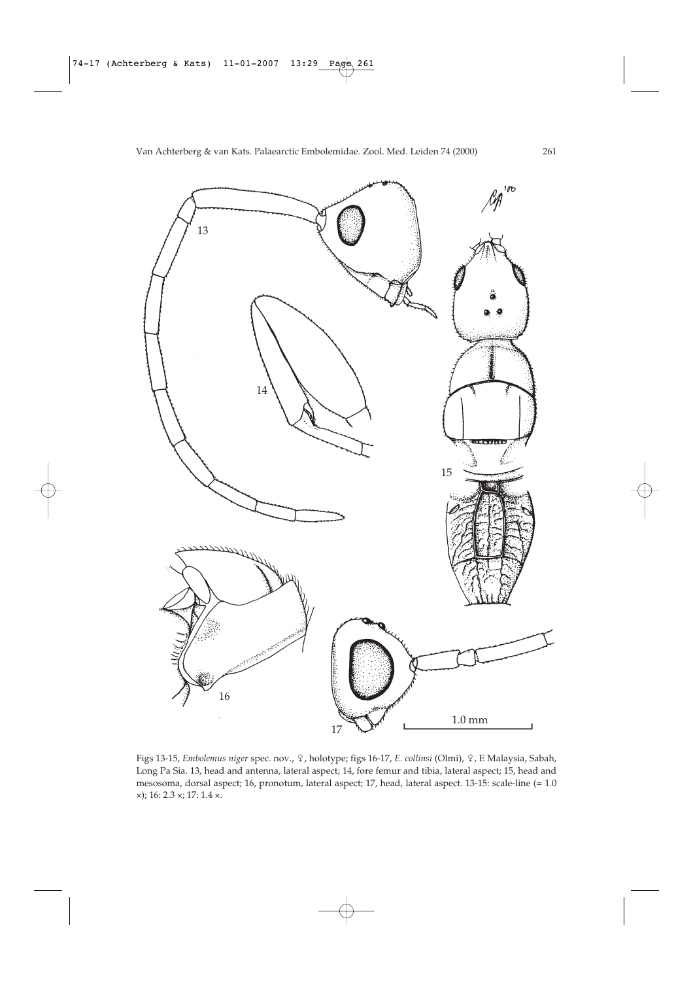

Figs 13-15*, Embolemus niger* spec. nov., ♀, holotype; figs 16-17, *E. collinsi* (Olmi), ♀, E Malaysia, Sabah, Long Pa Sia. 13, head and antenna, lateral aspect; 14, fore femur and tibia, lateral aspect; 15, head and mesosoma, dorsal aspect; 16, pronotum, lateral aspect; 17, head, lateral aspect. 13-15: scale-line (= 1.0 ×); 16: 2.3 ×; 17: 1.4 ×.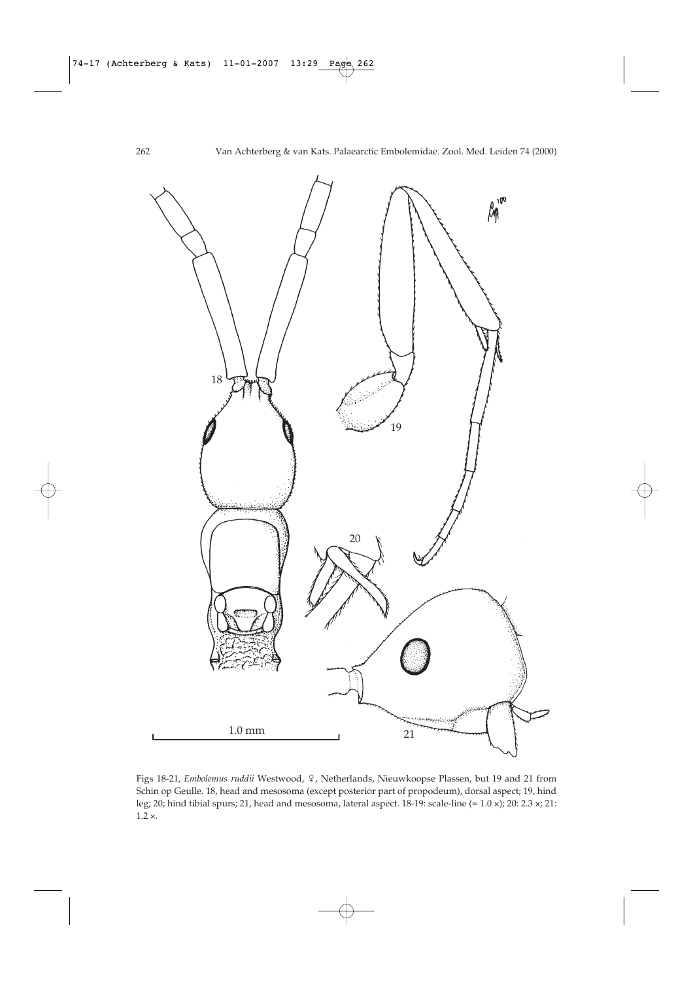

Figs 18-21, *Embolemus ruddii* Westwood, ?, Netherlands, Nieuwkoopse Plassen, but 19 and 21 from Schin op Geulle. 18, head and mesosoma (except posterior part of propodeum), dorsal aspect; 19, hind leg; 20; hind tibial spurs; 21, head and mesosoma, lateral aspect. 18-19: scale-line (= 1.0 ×); 20: 2.3 ×; 21: 1.2 ×.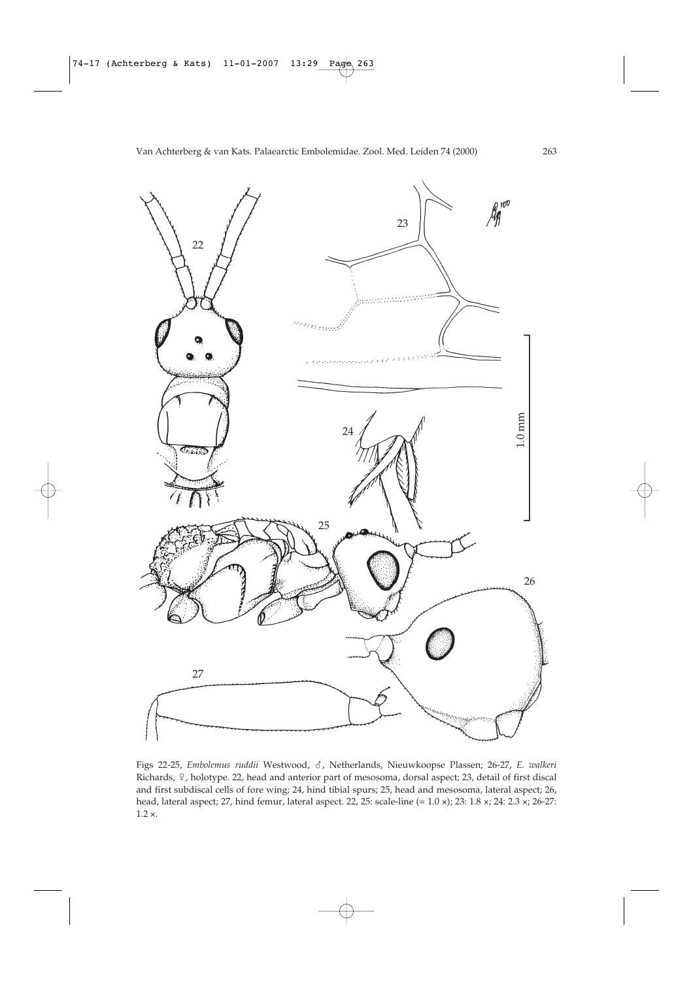

Figs 22-25, *Embolemus ruddii Westwood,*  $\delta$ *, Netherlands, Nieuwkoopse Plassen; 26-27, E. walkeri* Richards, ♀, holotype. 22, head and anterior part of mesosoma, dorsal aspect; 23, detail of first discal and first subdiscal cells of fore wing; 24, hind tibial spurs; 25, head and mesosoma, lateral aspect; 26, head, lateral aspect; 27, hind femur, lateral aspect. 22, 25: scale-line (= 1.0 ×); 23: 1.8 ×; 24: 2.3 ×; 26-27: 1.2 ×.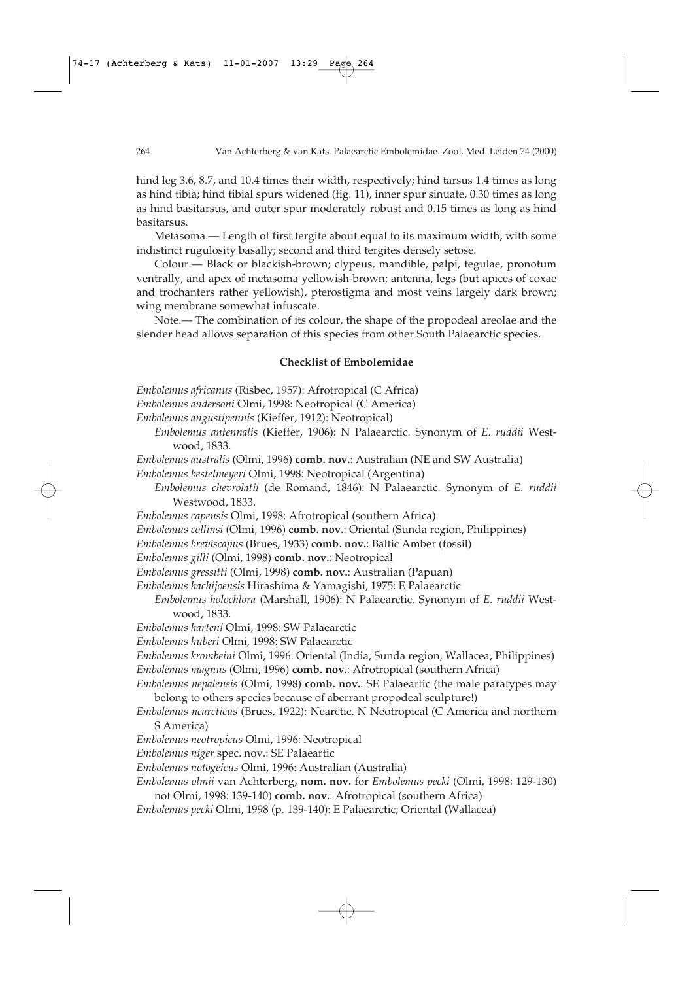hind leg 3.6, 8.7, and 10.4 times their width, respectively; hind tarsus 1.4 times as long as hind tibia; hind tibial spurs widened (fig. 11), inner spur sinuate, 0.30 times as long as hind basitarsus, and outer spur moderately robust and 0.15 times as long as hind basitarsus.

Metasoma.— Length of first tergite about equal to its maximum width, with some indistinct rugulosity basally; second and third tergites densely setose.

Colour.— Black or blackish-brown; clypeus, mandible, palpi, tegulae, pronotum ventrally, and apex of metasoma yellowish-brown; antenna, legs (but apices of coxae and trochanters rather yellowish), pterostigma and most veins largely dark brown; wing membrane somewhat infuscate.

Note.— The combination of its colour, the shape of the propodeal areolae and the slender head allows separation of this species from other South Palaearctic species.

## **Checklist of Embolemidae**

*Embolemus africanus* (Risbec, 1957): Afrotropical (C Africa)

*Embolemus andersoni* Olmi, 1998: Neotropical (C America)

*Embolemus angustipennis* (Kieffer, 1912): Neotropical)

*Embolemus antennalis* (Kieffer, 1906): N Palaearctic. Synonym of *E. ruddii* Westwood, 1833.

*Embolemus australis* (Olmi, 1996) **comb. nov.**: Australian (NE and SW Australia)

*Embolemus bestelmeyeri* Olmi, 1998: Neotropical (Argentina)

*Embolemus chevrolatii* (de Romand, 1846): N Palaearctic. Synonym of *E. ruddii* Westwood, 1833.

*Embolemus capensis* Olmi, 1998: Afrotropical (southern Africa)

*Embolemus collinsi* (Olmi, 1996) **comb. nov.**: Oriental (Sunda region, Philippines)

*Embolemus breviscapus* (Brues, 1933) **comb. nov.**: Baltic Amber (fossil)

*Embolemus gilli* (Olmi, 1998) **comb. nov.**: Neotropical

*Embolemus gressitti* (Olmi, 1998) **comb. nov.**: Australian (Papuan)

*Embolemus hachijoensis* Hirashima & Yamagishi, 1975: E Palaearctic

- *Embolemus holochlora* (Marshall, 1906): N Palaearctic. Synonym of *E. ruddii* Westwood, 1833.
- *Embolemus harteni* Olmi, 1998: SW Palaearctic
- *Embolemus huberi* Olmi, 1998: SW Palaearctic

*Embolemus krombeini* Olmi, 1996: Oriental (India, Sunda region, Wallacea, Philippines) *Embolemus magnus* (Olmi, 1996) **comb. nov.**: Afrotropical (southern Africa)

- *Embolemus nepalensis* (Olmi, 1998) **comb. nov.**: SE Palaeartic (the male paratypes may belong to others species because of aberrant propodeal sculpture!)
- *Embolemus nearcticus* (Brues, 1922): Nearctic, N Neotropical (C America and northern S America)
- *Embolemus neotropicus* Olmi, 1996: Neotropical

*Embolemus niger* spec. nov.: SE Palaeartic

*Embolemus notogeicus* Olmi, 1996: Australian (Australia)

- *Embolemus olmii* van Achterberg, **nom. nov.** for *Embolemus pecki* (Olmi, 1998: 129-130) not Olmi, 1998: 139-140) **comb. nov.**: Afrotropical (southern Africa)
- *Embolemus pecki* Olmi, 1998 (p. 139-140): E Palaearctic; Oriental (Wallacea)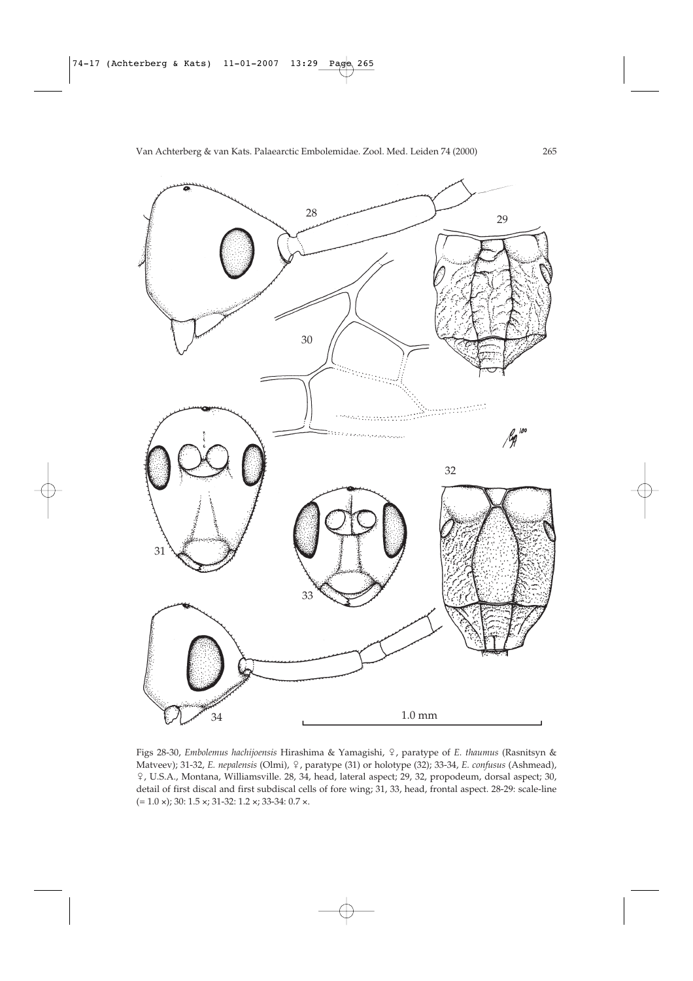

Figs 28-30, *Embolemus hachijoensis* Hirashima & Yamagishi, -, paratype of *E. thaumus* (Rasnitsyn & Matveev); 31-32, *E. nepalensis* (Olmi), ♀, paratype (31) or holotype (32); 33-34, *E. confusus* (Ashmead), -, U.S.A., Montana, Williamsville. 28, 34, head, lateral aspect; 29, 32, propodeum, dorsal aspect; 30, detail of first discal and first subdiscal cells of fore wing; 31, 33, head, frontal aspect. 28-29: scale-line  $(= 1.0 \times); 30: 1.5 \times; 31-32: 1.2 \times; 33-34: 0.7 \times.$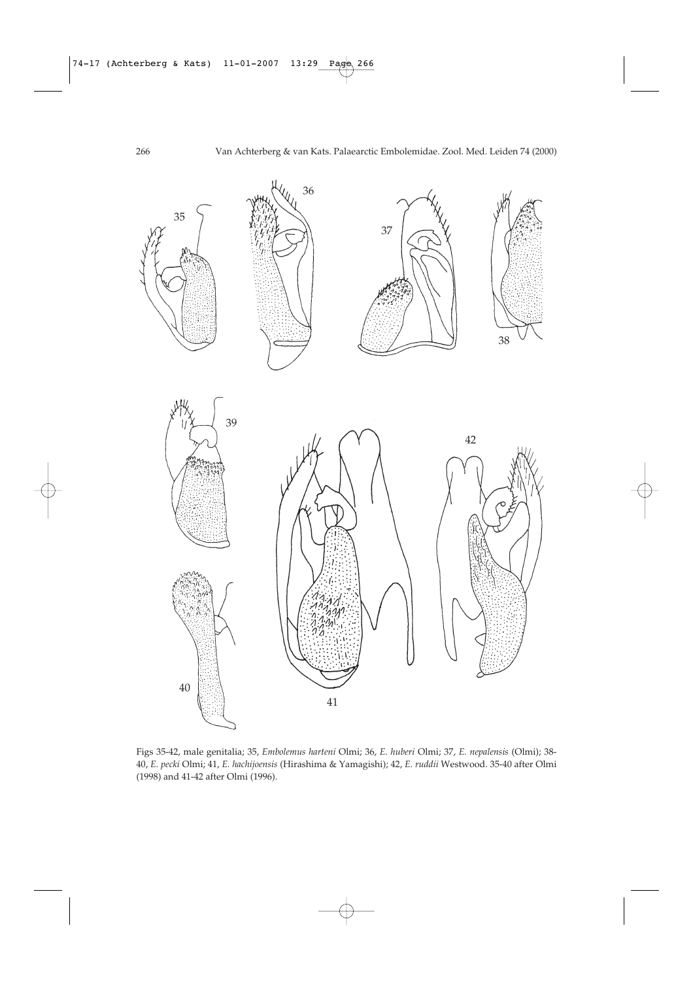

Figs 35-42, male genitalia; 35, *Embolemus harteni* Olmi; 36, *E. huberi* Olmi; 37, *E. nepalensis* (Olmi); 38- 40, *E. pecki* Olmi; 41, *E. hachijoensis* (Hirashima & Yamagishi); 42, *E. ruddii* Westwood. 35-40 after Olmi (1998) and 41-42 after Olmi (1996).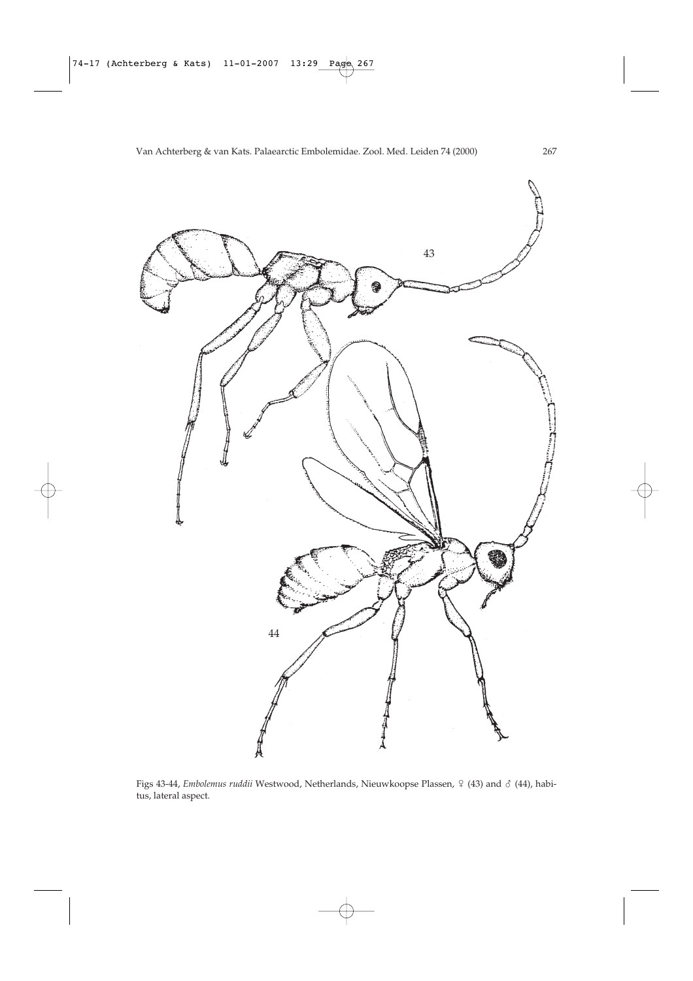

Figs 43-44*, Embolemus ruddii* Westwood, Netherlands, Nieuwkoopse Plassen, ♀ (43) and ♂ (44), habitus, lateral aspect.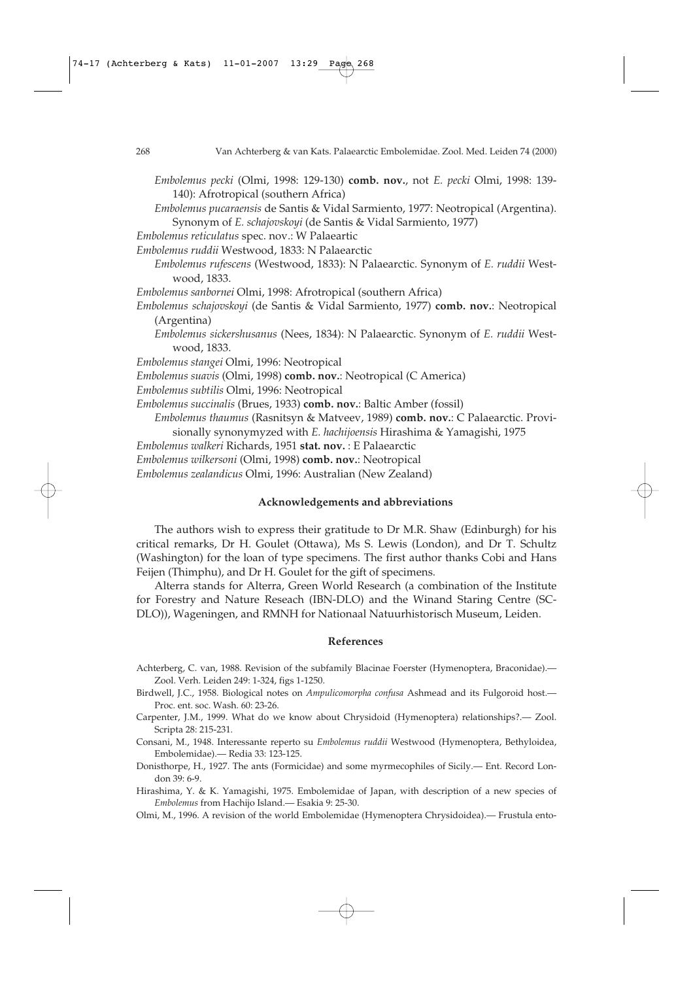- *Embolemus pecki* (Olmi, 1998: 129-130) **comb. nov.**, not *E. pecki* Olmi, 1998: 139- 140): Afrotropical (southern Africa)
- *Embolemus pucaraensis* de Santis & Vidal Sarmiento, 1977: Neotropical (Argentina). Synonym of *E. schajovskoyi* (de Santis & Vidal Sarmiento, 1977)
- *Embolemus reticulatus* spec. nov.: W Palaeartic
- *Embolemus ruddii* Westwood, 1833: N Palaearctic
	- *Embolemus rufescens* (Westwood, 1833): N Palaearctic. Synonym of *E. ruddii* Westwood, 1833.
- *Embolemus sanbornei* Olmi, 1998: Afrotropical (southern Africa)
- *Embolemus schajovskoyi* (de Santis & Vidal Sarmiento, 1977) **comb. nov.**: Neotropical (Argentina)
	- *Embolemus sickershusanus* (Nees, 1834): N Palaearctic. Synonym of *E. ruddii* Westwood, 1833.
- *Embolemus stangei* Olmi, 1996: Neotropical
- *Embolemus suavis* (Olmi, 1998) **comb. nov.**: Neotropical (C America)
- *Embolemus subtilis* Olmi, 1996: Neotropical
- *Embolemus succinalis* (Brues, 1933) **comb. nov.**: Baltic Amber (fossil)
	- *Embolemus thaumus* (Rasnitsyn & Matveev, 1989) **comb. nov.**: C Palaearctic. Provisionally synonymyzed with *E. hachijoensis* Hirashima & Yamagishi, 1975
- *Embolemus walkeri* Richards, 1951 **stat. nov.** : E Palaearctic
- *Embolemus wilkersoni* (Olmi, 1998) **comb. nov.**: Neotropical
- *Embolemus zealandicus* Olmi, 1996: Australian (New Zealand)

## **Acknowledgements and abbreviations**

The authors wish to express their gratitude to Dr M.R. Shaw (Edinburgh) for his critical remarks, Dr H. Goulet (Ottawa), Ms S. Lewis (London), and Dr T. Schultz (Washington) for the loan of type specimens. The first author thanks Cobi and Hans Feijen (Thimphu), and Dr H. Goulet for the gift of specimens.

Alterra stands for Alterra, Green World Research (a combination of the Institute for Forestry and Nature Reseach (IBN-DLO) and the Winand Staring Centre (SC-DLO)), Wageningen, and RMNH for Nationaal Natuurhistorisch Museum, Leiden.

#### **References**

- Achterberg, C. van, 1988. Revision of the subfamily Blacinae Foerster (Hymenoptera, Braconidae).— Zool. Verh. Leiden 249: 1-324, figs 1-1250.
- Birdwell, J.C., 1958. Biological notes on *Ampulicomorpha confusa* Ashmead and its Fulgoroid host.— Proc. ent. soc. Wash. 60: 23-26.
- Carpenter, J.M., 1999. What do we know about Chrysidoid (Hymenoptera) relationships?.— Zool. Scripta 28: 215-231.
- Consani, M., 1948. Interessante reperto su *Embolemus ruddii* Westwood (Hymenoptera, Bethyloidea, Embolemidae).— Redia 33: 123-125.
- Donisthorpe, H., 1927. The ants (Formicidae) and some myrmecophiles of Sicily.— Ent. Record London 39: 6-9.
- Hirashima, Y. & K. Yamagishi, 1975. Embolemidae of Japan, with description of a new species of *Embolemus* from Hachijo Island.— Esakia 9: 25-30.
- Olmi, M., 1996. A revision of the world Embolemidae (Hymenoptera Chrysidoidea).— Frustula ento-